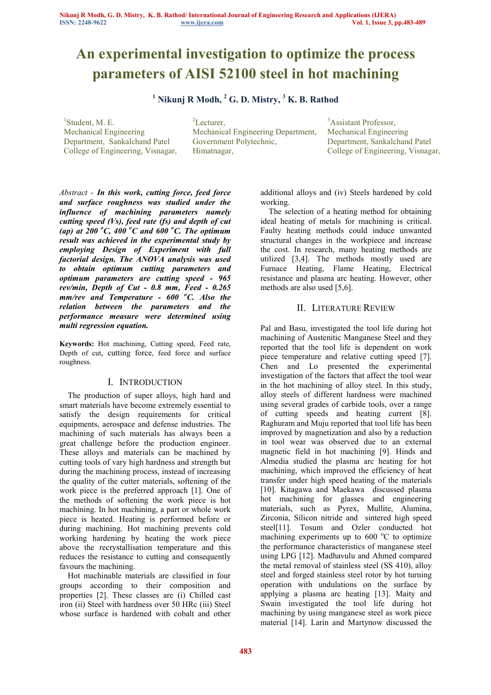# **An experimental investigation to optimize the process parameters of AISI 52100 steel in hot machining**

# **1 Nikunj R Modh, <sup>2</sup> G. D. Mistry, <sup>3</sup> K. B. Rathod**

 $<sup>1</sup>$ Student, M. E.</sup> Mechanical Engineering Department, Sankalchand Patel College of Engineering, Visnagar,

<sup>2</sup>Lecturer. Mechanical Engineering Department, Government Polytechnic, Himatnagar,

<sup>3</sup>Assistant Professor, Mechanical Engineering Department, Sankalchand Patel College of Engineering, Visnagar,

*Abstract* - *In this work, cutting force, feed force and surface roughness was studied under the influence of machining parameters namely cutting speed (Vs), feed rate (fs) and depth of cut (ap) at 200 <sup>o</sup>C, 400 <sup>o</sup>C and 600 <sup>o</sup>C. The optimum result was achieved in the experimental study by employing Design of Experiment with full factorial design. The ANOVA analysis was used to obtain optimum cutting parameters and optimum parameters are cutting speed - 965 rev/min, Depth of Cut - 0.8 mm, Feed - 0.265 mm/rev and Temperature - 600 <sup>o</sup>C. Also the relation between the parameters and the performance measure were determined using multi regression equation.*

**Keywords:** Hot machining, Cutting speed, Feed rate, Depth of cut, cutting force, feed force and surface roughness.

## I. INTRODUCTION

The production of super alloys, high hard and smart materials have become extremely essential to satisfy the design requirements for critical equipments, aerospace and defense industries. The machining of such materials has always been a great challenge before the production engineer. These alloys and materials can be machined by cutting tools of vary high hardness and strength but during the machining process, instead of increasing the quality of the cutter materials, softening of the work piece is the preferred approach [1]. One of the methods of softening the work piece is hot machining. In hot machining, a part or whole work piece is heated. Heating is performed before or during machining. Hot machining prevents cold working hardening by heating the work piece above the recrystallisation temperature and this reduces the resistance to cutting and consequently favours the machining.

Hot machinable materials are classified in four groups according to their composition and properties [2]. These classes are (i) Chilled cast iron (ii) Steel with hardness over 50 HRc (iii) Steel whose surface is hardened with cobalt and other additional alloys and (iv) Steels hardened by cold working.

The selection of a heating method for obtaining ideal heating of metals for machining is critical. Faulty heating methods could induce unwanted structural changes in the workpiece and increase the cost. In research, many heating methods are utilized [3,4]. The methods mostly used are Furnace Heating, Flame Heating, Electrical resistance and plasma arc heating. However, other methods are also used [5,6].

## II. LITERATURE REVIEW

Pal and Basu, investigated the tool life during hot machining of Austenitic Manganese Steel and they reported that the tool life is dependent on work piece temperature and relative cutting speed [7]. Chen and Lo presented the experimental investigation of the factors that affect the tool wear in the hot machining of alloy steel. In this study, alloy steels of different hardness were machined using several grades of carbide tools, over a range of cutting speeds and heating current [8]. Raghuram and Muju reported that tool life has been improved by magnetization and also by a reduction in tool wear was observed due to an external magnetic field in hot machining [9]. Hinds and Almedia studied the plasma arc heating for hot machining, which improved the efficiency of heat transfer under high speed heating of the materials [10]. Kitagawa and Maekawa discussed plasma hot machining for glasses and engineering materials, such as Pyrex, Mullite, Alumina, Zirconia, Silicon nitride and sintered high speed steel[11]. Tosum and Ozler conducted hot machining experiments up to  $600 \degree C$  to optimize the performance characteristics of manganese steel using LPG [12]. Madhavulu and Ahmed compared the metal removal of stainless steel (SS 410), alloy steel and forged stainless steel rotor by hot turning operation with undulations on the surface by applying a plasma arc heating [13]. Maity and Swain investigated the tool life during hot machining by using manganese steel as work piece material [14]. Larin and Martynow discussed the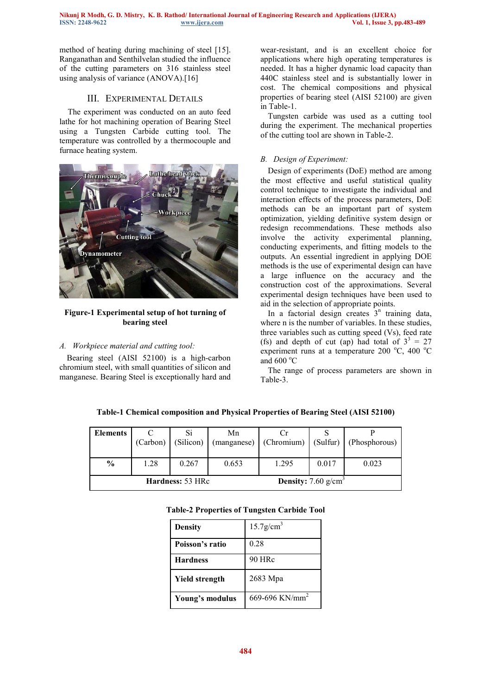method of heating during machining of steel [15]. Ranganathan and Senthilvelan studied the influence of the cutting parameters on 316 stainless steel using analysis of variance (ANOVA).[16]

## III. EXPERIMENTAL DETAILS

The experiment was conducted on an auto feed lathe for hot machining operation of Bearing Steel using a Tungsten Carbide cutting tool. The temperature was controlled by a thermocouple and furnace heating system.



#### **Figure-1 Experimental setup of hot turning of bearing steel**

#### *A. Workpiece material and cutting tool:*

Bearing steel (AISI 52100) is a high-carbon chromium steel, with small quantities of silicon and manganese. Bearing Steel is exceptionally hard and wear-resistant, and is an excellent choice for applications where high operating temperatures is needed. It has a higher dynamic load capacity than 440C stainless steel and is substantially lower in cost. The chemical compositions and physical properties of bearing steel (AISI 52100) are given in Table-1.

Tungsten carbide was used as a cutting tool during the experiment. The mechanical properties of the cutting tool are shown in Table-2.

## *B. Design of Experiment:*

Design of experiments (DoE) method are among the most effective and useful statistical quality control technique to investigate the individual and interaction effects of the process parameters, DoE methods can be an important part of system optimization, yielding definitive system design or redesign recommendations. These methods also involve the activity experimental planning, conducting experiments, and fitting models to the outputs. An essential ingredient in applying DOE methods is the use of experimental design can have a large influence on the accuracy and the construction cost of the approximations. Several experimental design techniques have been used to aid in the selection of appropriate points.

In a factorial design creates  $3<sup>n</sup>$  training data, where n is the number of variables. In these studies, three variables such as cutting speed (Vs), feed rate (fs) and depth of cut (ap) had total of  $3^3 = 27$ experiment runs at a temperature 200  $^{\circ}$ C, 400  $^{\circ}$ C and  $600^{\circ}$ C

The range of process parameters are shown in Table-3.

| <b>Elements</b>                                         | (Carbon) | (Silicon) | Mn    | (manganese) (Chromium) (Sulfur) |       | (Phosphorous) |
|---------------------------------------------------------|----------|-----------|-------|---------------------------------|-------|---------------|
| $\frac{0}{0}$                                           | 1.28     | 0.267     | 0.653 | 1.295                           | 0.017 | 0.023         |
| <b>Density:</b> 7.60 $g/cm3$<br><b>Hardness: 53 HRc</b> |          |           |       |                                 |       |               |

**Table-1 Chemical composition and Physical Properties of Bearing Steel (AISI 52100)** 

| <b>Table-2 Properties of Tungsten Carbide Tool</b> |  |  |  |  |
|----------------------------------------------------|--|--|--|--|
|----------------------------------------------------|--|--|--|--|

| <b>Density</b>        | $15.7$ g/cm <sup>3</sup>   |
|-----------------------|----------------------------|
| Poisson's ratio       | 0.28                       |
| <b>Hardness</b>       | 90 HRc                     |
| <b>Yield strength</b> | 2683 Mpa                   |
| Young's modulus       | 669-696 KN/mm <sup>2</sup> |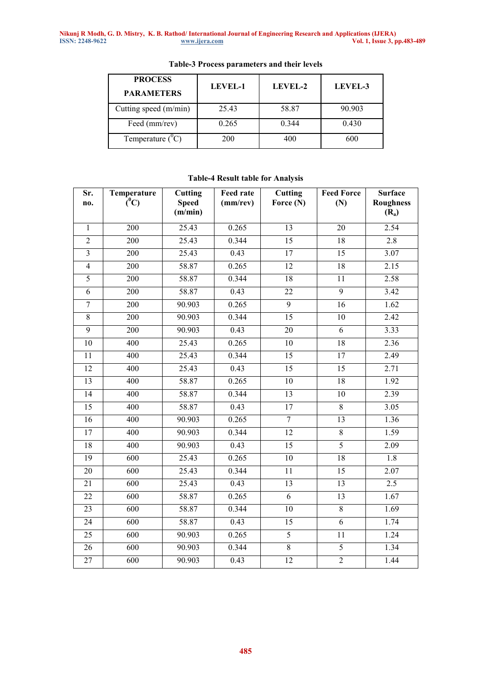| <b>PROCESS</b><br><b>PARAMETERS</b> | LEVEL-1 | LEVEL-2 | LEVEL-3 |  |
|-------------------------------------|---------|---------|---------|--|
| Cutting speed (m/min)               | 25.43   | 58.87   | 90.903  |  |
| Feed (mm/rev)                       | 0.265   | 0.344   | 0.430   |  |
| Temperature $(^0C)$                 | 200     | 400     | 600     |  |

## **Table-3 Process parameters and their levels**

## **Table-4 Result table for Analysis**

| Sr.<br>no.      | Temperature<br>$\rm \tilde{C}^0$ | Cutting<br><b>Speed</b><br>(m/min) | <b>Feed rate</b><br>$(mm$ /rev $)$ | Cutting<br>Force (N) | <b>Feed Force</b><br>(N) | <b>Surface</b><br><b>Roughness</b><br>$(R_a)$ |
|-----------------|----------------------------------|------------------------------------|------------------------------------|----------------------|--------------------------|-----------------------------------------------|
| $\mathbf{1}$    | 200                              | 25.43                              | 0.265                              | 13                   | 20                       | 2.54                                          |
| $\overline{2}$  | 200                              | 25.43                              | 0.344                              | 15                   | $\overline{18}$          | 2.8                                           |
| $\overline{3}$  | 200                              | 25.43                              | 0.43                               | 17                   | 15                       | 3.07                                          |
| $\overline{4}$  | 200                              | 58.87                              | 0.265                              | 12                   | $\overline{18}$          | 2.15                                          |
| 5               | 200                              | 58.87                              | 0.344                              | $\overline{18}$      | $\overline{11}$          | 2.58                                          |
| $\overline{6}$  | 200                              | 58.87                              | 0.43                               | $\overline{22}$      | $\overline{9}$           | 3.42                                          |
| $\overline{7}$  | 200                              | 90.903                             | 0.265                              | $\overline{9}$       | $\overline{16}$          | $\overline{1.62}$                             |
| $\overline{8}$  | 200                              | 90.903                             | 0.344                              | 15                   | $\overline{10}$          | 2.42                                          |
| $\overline{9}$  | 200                              | 90.903                             | 0.43                               | 20                   | 6                        | 3.33                                          |
| 10              | 400                              | 25.43                              | 0.265                              | $\overline{10}$      | $\overline{18}$          | 2.36                                          |
| 11              | 400                              | 25.43                              | 0.344                              | $\overline{15}$      | $\overline{17}$          | 2.49                                          |
| $\overline{12}$ | 400                              | 25.43                              | 0.43                               | $\overline{15}$      | $\overline{15}$          | 2.71                                          |
| $\overline{13}$ | 400                              | 58.87                              | 0.265                              | $\overline{10}$      | $\overline{18}$          | 1.92                                          |
| $\overline{14}$ | 400                              | 58.87                              | 0.344                              | $\overline{13}$      | $\overline{10}$          | 2.39                                          |
| 15              | 400                              | 58.87                              | 0.43                               | 17                   | $\,8\,$                  | 3.05                                          |
| $\overline{16}$ | 400                              | 90.903                             | 0.265                              | $\overline{7}$       | $\overline{13}$          | 1.36                                          |
| 17              | 400                              | 90.903                             | 0.344                              | 12                   | $\overline{8}$           | 1.59                                          |
| $\overline{18}$ | 400                              | 90.903                             | 0.43                               | $\overline{15}$      | $\overline{5}$           | $\frac{1}{2.09}$                              |
| $\overline{19}$ | $\overline{600}$                 | 25.43                              | 0.265                              | $\overline{10}$      | $\overline{18}$          | 1.8                                           |
| 20              | 600                              | 25.43                              | 0.344                              | $\overline{11}$      | $\overline{15}$          | $\frac{1}{2.07}$                              |
| 21              | 600                              | 25.43                              | 0.43                               | $\overline{13}$      | 13                       | 2.5                                           |
| $\overline{22}$ | 600                              | 58.87                              | 0.265                              | $\overline{6}$       | $\overline{13}$          | 1.67                                          |
| $\overline{23}$ | $\overline{600}$                 | 58.87                              | 0.344                              | $\overline{10}$      | $\overline{8}$           | 1.69                                          |
| 24              | 600                              | 58.87                              | 0.43                               | 15                   | $\overline{6}$           | 1.74                                          |
| $\overline{25}$ | $\overline{600}$                 | 90.903                             | 0.265                              | 5                    | $\overline{11}$          | 1.24                                          |
| 26              | 600                              | 90.903                             | 0.344                              | $\overline{8}$       | $\overline{5}$           | 1.34                                          |
| 27              | 600                              | 90.903                             | 0.43                               | $\overline{12}$      | $\overline{2}$           | 1.44                                          |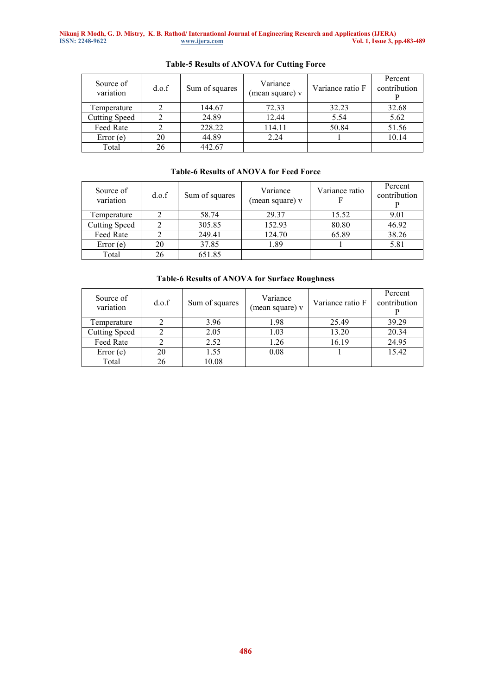| Source of<br>variation | d.o.f | Sum of squares | Variance<br>(mean square) v | Variance ratio F | Percent<br>contribution |
|------------------------|-------|----------------|-----------------------------|------------------|-------------------------|
| Temperature            |       | 144.67         | 72.33                       | 32.23            | 32.68                   |
| <b>Cutting Speed</b>   |       | 24.89          | 12.44                       | 5.54             | 5.62                    |
| Feed Rate              |       | 228.22         | 114.11                      | 50.84            | 51.56                   |
| Error(e)               | 20    | 44.89          | 2.24                        |                  | 10.14                   |
| Total                  | 26    | 442.67         |                             |                  |                         |

# **Table-5 Results of ANOVA for Cutting Force**

## **Table-6 Results of ANOVA for Feed Force**

| Source of<br>variation | d.o.f | Sum of squares | Variance<br>(mean square) v | Variance ratio | Percent<br>contribution |
|------------------------|-------|----------------|-----------------------------|----------------|-------------------------|
| Temperature            |       | 58.74          | 29.37                       | 15.52          | 9.01                    |
| <b>Cutting Speed</b>   |       | 305.85         | 152.93                      | 80.80          | 46.92                   |
| Feed Rate              |       | 249.41         | 124.70                      | 65.89          | 38.26                   |
| Error(e)               | 20    | 37.85          | 1.89                        |                | 5.81                    |
| Total                  | 26    | 651.85         |                             |                |                         |

## **Table-6 Results of ANOVA for Surface Roughness**

| Source of<br>variation | d.o.f | Sum of squares | Variance<br>(mean square) v | Variance ratio F | Percent<br>contribution |
|------------------------|-------|----------------|-----------------------------|------------------|-------------------------|
| Temperature            |       | 3.96           | 1.98                        | 25.49            | 39.29                   |
| <b>Cutting Speed</b>   |       | 2.05           | 1.03                        | 13.20            | 20.34                   |
| Feed Rate              |       | 2.52           | 1.26                        | 16.19            | 24.95                   |
| Error(e)               | 20    | 1.55           | 0.08                        |                  | 15.42                   |
| Total                  | 26    | 10.08          |                             |                  |                         |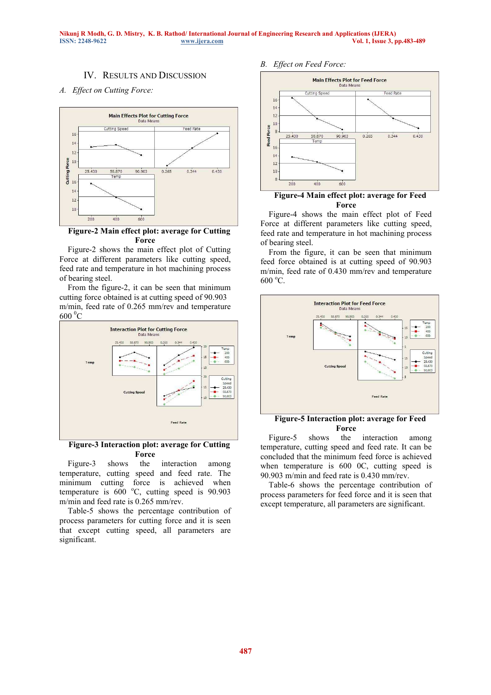## IV. RESULTS AND DISCUSSION

#### *A. Effect on Cutting Force:*



#### **Figure-2 Main effect plot: average for Cutting Force**

Figure-2 shows the main effect plot of Cutting Force at different parameters like cutting speed, feed rate and temperature in hot machining process of bearing steel.

From the figure-2, it can be seen that minimum cutting force obtained is at cutting speed of 90.903 m/min, feed rate of 0.265 mm/rev and temperature  $600\text{ °C}$ 



**Figure-3 Interaction plot: average for Cutting Force** 

Figure-3 shows the interaction among temperature, cutting speed and feed rate. The minimum cutting force is achieved when temperature is  $600^{\circ}$ C, cutting speed is 90.903 m/min and feed rate is 0.265 mm/rev.

Table-5 shows the percentage contribution of process parameters for cutting force and it is seen that except cutting speed, all parameters are significant.

#### *B. Effect on Feed Force:*



#### **Figure-4 Main effect plot: average for Feed Force**

Figure-4 shows the main effect plot of Feed Force at different parameters like cutting speed, feed rate and temperature in hot machining process of bearing steel.

From the figure, it can be seen that minimum feed force obtained is at cutting speed of 90.903 m/min, feed rate of 0.430 mm/rev and temperature  $600 \degree C$ .



## **Figure-5 Interaction plot: average for Feed Force**

Figure-5 shows the interaction among temperature, cutting speed and feed rate. It can be concluded that the minimum feed force is achieved when temperature is 600 0C, cutting speed is 90.903 m/min and feed rate is 0.430 mm/rev.

Table-6 shows the percentage contribution of process parameters for feed force and it is seen that except temperature, all parameters are significant.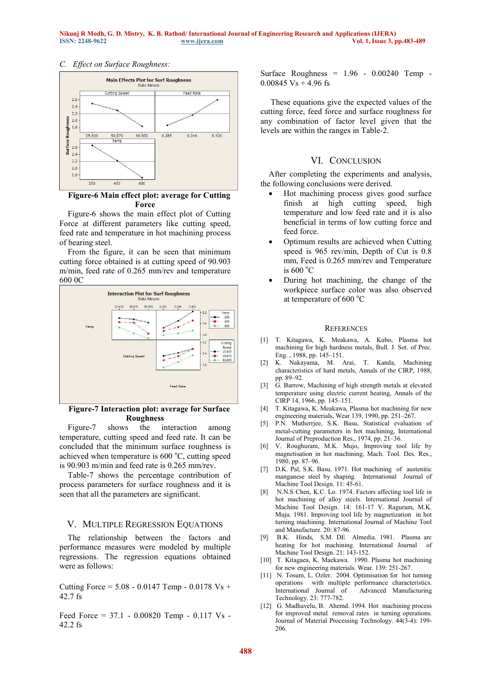#### *C. Effect on Surface Roughness:*



## **Figure-6 Main effect plot: average for Cutting Force**

Figure-6 shows the main effect plot of Cutting Force at different parameters like cutting speed, feed rate and temperature in hot machining process of bearing steel.

From the figure, it can be seen that minimum cutting force obtained is at cutting speed of 90.903 m/min, feed rate of 0.265 mm/rev and temperature 600 0C



#### **Figure-7 Interaction plot: average for Surface Roughness**

Figure-7 shows the interaction among temperature, cutting speed and feed rate. It can be concluded that the minimum surface roughness is achieved when temperature is  $600\degree C$ , cutting speed is 90.903 m/min and feed rate is 0.265 mm/rev.

Table-7 shows the percentage contribution of process parameters for surface roughness and it is seen that all the parameters are significant.

#### V. MULTIPLE REGRESSION EQUATIONS

 The relationship between the factors and performance measures were modeled by multiple regressions. The regression equations obtained were as follows:

Cutting Force =  $5.08 - 0.0147$  Temp -  $0.0178$  Vs + 42.7 fs

Feed Force = 37.1 - 0.00820 Temp - 0.117 Vs - 42.2 fs

Surface Roughness =  $1.96 - 0.00240$  Temp - $0.00845$  Vs + 4.96 fs

 These equations give the expected values of the cutting force, feed force and surface roughness for any combination of factor level given that the levels are within the ranges in Table-2.

#### VI. CONCLUSION

After completing the experiments and analysis, the following conclusions were derived.

- Hot machining process gives good surface finish at high cutting speed, high temperature and low feed rate and it is also beneficial in terms of low cutting force and feed force.
- Optimum results are achieved when Cutting speed is 965 rev/min, Depth of Cut is 0.8 mm, Feed is 0.265 mm/rev and Temperature is  $600 °C$
- During hot machining, the change of the workpiece surface color was also observed at temperature of  $600^{\circ}$ C

#### **REFERENCES**

- [1] T. Kitagawa, K. Meakawa, A. Kubo, Plasma hot machining for high hardness metals, Bull. J. Sot. of Prec. Eng. , 1988, pp. 145–151.
- [2] K. Nakayama, M. Arai, T. Kanda, Machining characteristics of hard metals, Annals of the CIRP, 1988, pp. 89–92.
- [3] G. Barrow, Machining of high strength metals at elevated temperature using electric current heating, Annals of the CIRP 14, 1966, pp. 145–151.
- [4] T. Kitagawa, K. Meakawa, Plasma hot machining for new engineering materials, Wear 139, 1990, pp. 251–267.
- [5] P.N. Mutherrjee, S.K. Basu, Statistical evaluation of metal-cutting parameters in hot machining, International Journal of Preproduction Res., 1974, pp. 21–36.
- [6] V. Roughuram, M.K. Mujo, Improving tool life by magnetisation in hot machining, Mach. Tool. Des. Res., 1980, pp. 87–96.
- [7] D.K. Pal, S.K. Basu. 1971. Hot machining of austenitic manganese steel by shaping. International Journal of Machine Tool Design. 11: 45-61.
- [8] N.N.S Chen, K.C. Lo. 1974. Factors affecting tool life in hot machining of alloy steels. International Journal of Machine Tool Design. 14: 161-17 V. Raguram, M.K. Muju. 1981. Improving tool life by magnetization in hot turning machining. International Journal of Machine Tool and Manufacture. 20: 87-96.
- [9] B.K. Hinds, S.M. DE Almedia. 1981. Plasma arc heating for hot machining. International Journal of Machine Tool Design. 21: 143-152.
- [10] T. Kitagaea, K. Maekawa. 1990. Plasma hot machining for new engineering materials. Wear. 139: 251-267.
- [11] N. Tosum, L. Ozler. 2004. Optimisation for hot turning operations with multiple performance characteristics. Advanced Manufacturing Technology. 23: 777-782.
- [12] G. Madhavelu, B. Ahemd. 1994. Hot machining process for improved metal removal rates in turning operations. Journal of Material Processing Technology. 44(3-4): 199- 206.